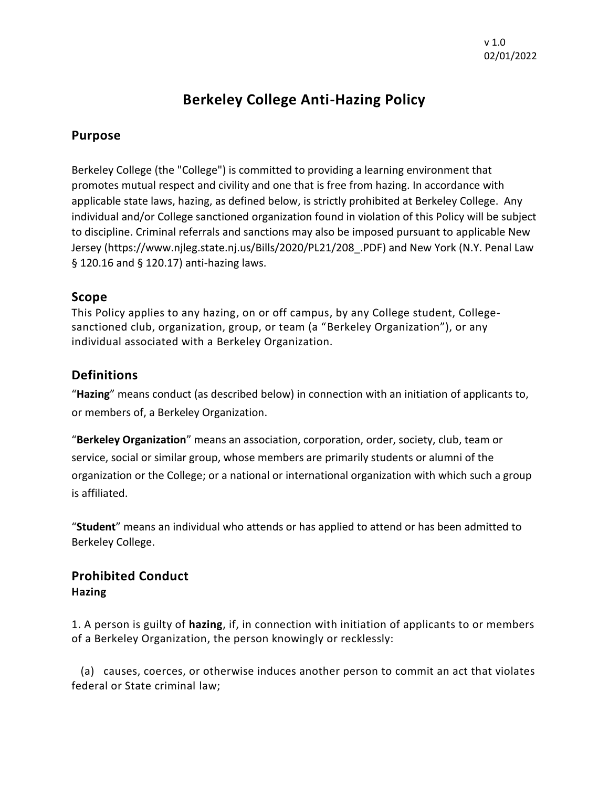# **Berkeley College Anti-Hazing Policy**

## **Purpose**

Berkeley College (the "College") is committed to providing a learning environment that promotes mutual respect and civility and one that is free from hazing. In accordance with applicable state laws, hazing, as defined below, is strictly prohibited at Berkeley College. Any individual and/or College sanctioned organization found in violation of this Policy will be subject to discipline. Criminal referrals and sanctions may also be imposed pursuant to applicable New Jersey (https://www.njleg.state.nj.us/Bills/2020/PL21/208\_.PDF) and New York (N.Y. Penal Law § 120.16 and § 120.17) anti-hazing laws.

### **Scope**

This Policy applies to any hazing, on or off campus, by any College student, Collegesanctioned club, organization, group, or team (a "Berkeley Organization"), or any individual associated with a Berkeley Organization.

## **Definitions**

"**Hazing**" means conduct (as described below) in connection with an initiation of applicants to, or members of, a Berkeley Organization.

"**Berkeley Organization**" means an association, corporation, order, society, club, team or service, social or similar group, whose members are primarily students or alumni of the organization or the College; or a national or international organization with which such a group is affiliated.

"**Student**" means an individual who attends or has applied to attend or has been admitted to Berkeley College.

## **Prohibited Conduct Hazing**

1. A person is guilty of **hazing**, if, in connection with initiation of applicants to or members of a Berkeley Organization, the person knowingly or recklessly:

 (a) causes, coerces, or otherwise induces another person to commit an act that violates federal or State criminal law;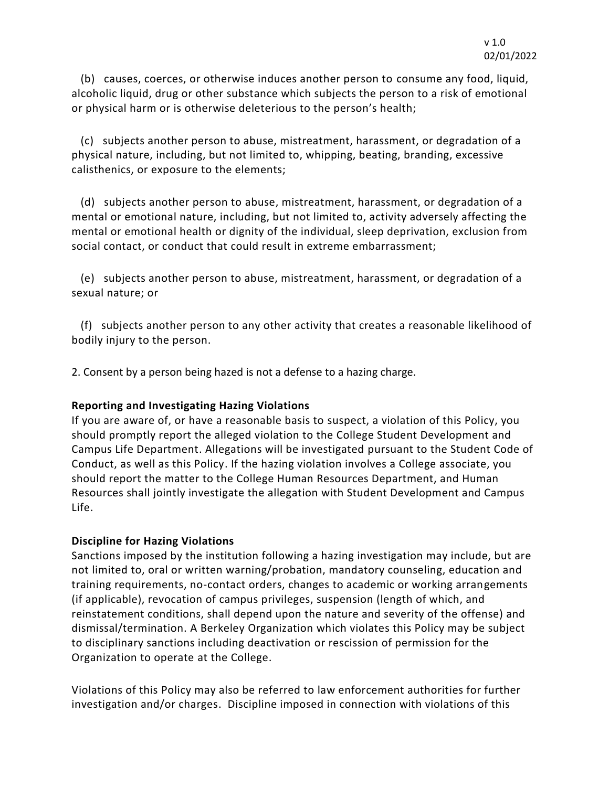(b) causes, coerces, or otherwise induces another person to consume any food, liquid, alcoholic liquid, drug or other substance which subjects the person to a risk of emotional or physical harm or is otherwise deleterious to the person's health;

 (c) subjects another person to abuse, mistreatment, harassment, or degradation of a physical nature, including, but not limited to, whipping, beating, branding, excessive calisthenics, or exposure to the elements;

 (d) subjects another person to abuse, mistreatment, harassment, or degradation of a mental or emotional nature, including, but not limited to, activity adversely affecting the mental or emotional health or dignity of the individual, sleep deprivation, exclusion from social contact, or conduct that could result in extreme embarrassment;

 (e) subjects another person to abuse, mistreatment, harassment, or degradation of a sexual nature; or

 (f) subjects another person to any other activity that creates a reasonable likelihood of bodily injury to the person.

2. Consent by a person being hazed is not a defense to a hazing charge.

#### **Reporting and Investigating Hazing Violations**

If you are aware of, or have a reasonable basis to suspect, a violation of this Policy, you should promptly report the alleged violation to the College Student Development and Campus Life Department. Allegations will be investigated pursuant to the Student Code of Conduct, as well as this Policy. If the hazing violation involves a College associate, you should report the matter to the College Human Resources Department, and Human Resources shall jointly investigate the allegation with Student Development and Campus Life.

#### **Discipline for Hazing Violations**

Sanctions imposed by the institution following a hazing investigation may include, but are not limited to, oral or written warning/probation, mandatory counseling, education and training requirements, no-contact orders, changes to academic or working arrangements (if applicable), revocation of campus privileges, suspension (length of which, and reinstatement conditions, shall depend upon the nature and severity of the offense) and dismissal/termination. A Berkeley Organization which violates this Policy may be subject to disciplinary sanctions including deactivation or rescission of permission for the Organization to operate at the College.

Violations of this Policy may also be referred to law enforcement authorities for further investigation and/or charges. Discipline imposed in connection with violations of this